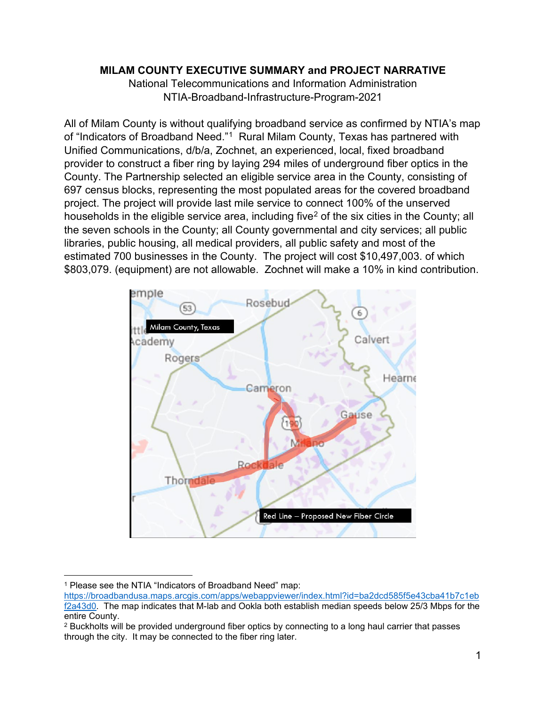## **MILAM COUNTY EXECUTIVE SUMMARY and PROJECT NARRATIVE**

National Telecommunications and Information Administration NTIA-Broadband-Infrastructure-Program-2021

All of Milam County is without qualifying broadband service as confirmed by NTIA's map of "Indicators of Broadband Need."<sup>[1](#page-0-0)</sup> Rural Milam County, Texas has partnered with Unified Communications, d/b/a, Zochnet, an experienced, local, fixed broadband provider to construct a fiber ring by laying 294 miles of underground fiber optics in the County. The Partnership selected an eligible service area in the County, consisting of 697 census blocks, representing the most populated areas for the covered broadband project. The project will provide last mile service to connect 100% of the unserved households in the eligible service area, including five<sup>[2](#page-0-1)</sup> of the six cities in the County; all the seven schools in the County; all County governmental and city services; all public libraries, public housing, all medical providers, all public safety and most of the estimated 700 businesses in the County. The project will cost \$10,497,003. of which \$803,079. (equipment) are not allowable. Zochnet will make a 10% in kind contribution.



<sup>&</sup>lt;sup>1</sup> Please see the NTIA "Indicators of Broadband Need" map:

<span id="page-0-0"></span>[https://broadbandusa.maps.arcgis.com/apps/webappviewer/index.html?id=ba2dcd585f5e43cba41b7c1eb](https://broadbandusa.maps.arcgis.com/apps/webappviewer/index.html?id=ba2dcd585f5e43cba41b7c1ebf2a43d0) [f2a43d0.](https://broadbandusa.maps.arcgis.com/apps/webappviewer/index.html?id=ba2dcd585f5e43cba41b7c1ebf2a43d0) The map indicates that M-lab and Ookla both establish median speeds below 25/3 Mbps for the entire County.

<span id="page-0-1"></span><sup>&</sup>lt;sup>2</sup> Buckholts will be provided underground fiber optics by connecting to a long haul carrier that passes through the city. It may be connected to the fiber ring later.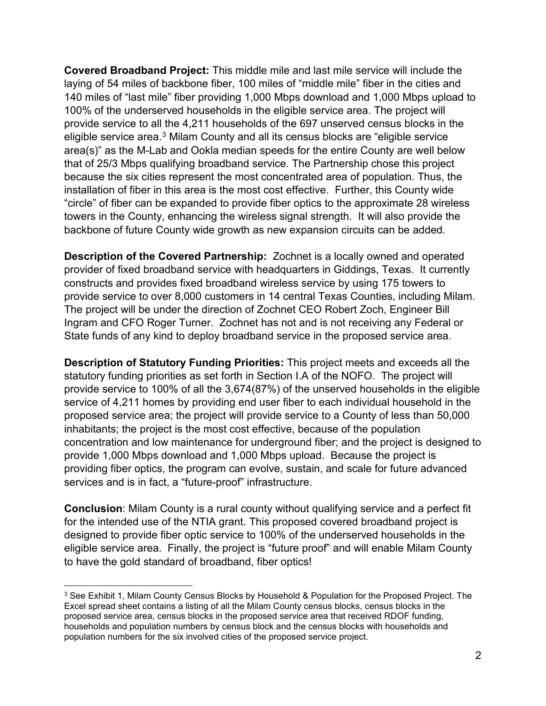**Covered Broadband Project:** This middle mile and last mile service will include the laying of 54 miles of backbone fiber, 100 miles of "middle mile" fiber in the cities and 140 miles of "last mile" fiber providing 1,000 Mbps download and 1,000 Mbps upload to 100% of the underserved households in the eligible service area. The project will provide service to all the 4,211 households of the 697 unserved census blocks in the eligible service area.[3](#page-1-0) Milam County and all its census blocks are "eligible service area(s)" as the M-Lab and Ookla median speeds for the entire County are well below that of 25/3 Mbps qualifying broadband service. The Partnership chose this project because the six cities represent the most concentrated area of population. Thus, the installation of fiber in this area is the most cost effective. Further, this County wide "circle" of fiber can be expanded to provide fiber optics to the approximate 28 wireless towers in the County, enhancing the wireless signal strength. It will also provide the backbone of future County wide growth as new expansion circuits can be added.

**Description of the Covered Partnership:** Zochnet is a locally owned and operated provider of fixed broadband service with headquarters in Giddings, Texas. It currently constructs and provides fixed broadband wireless service by using 175 towers to provide service to over 8,000 customers in 14 central Texas Counties, including Milam. The project will be under the direction of Zochnet CEO Robert Zoch, Engineer Bill Ingram and CFO Roger Turner. Zochnet has not and is not receiving any Federal or State funds of any kind to deploy broadband service in the proposed service area.

**Description of Statutory Funding Priorities:** This project meets and exceeds all the statutory funding priorities as set forth in Section I.A of the NOFO. The project will provide service to 100% of all the 3,674(87%) of the unserved households in the eligible service of 4,211 homes by providing end user fiber to each individual household in the proposed service area; the project will provide service to a County of less than 50,000 inhabitants; the project is the most cost effective, because of the population concentration and low maintenance for underground fiber; and the project is designed to provide 1,000 Mbps download and 1,000 Mbps upload. Because the project is providing fiber optics, the program can evolve, sustain, and scale for future advanced services and is in fact, a "future-proof" infrastructure.

**Conclusion**: Milam County is a rural county without qualifying service and a perfect fit for the intended use of the NTIA grant. This proposed covered broadband project is designed to provide fiber optic service to 100% of the underserved households in the eligible service area. Finally, the project is "future proof" and will enable Milam County to have the gold standard of broadband, fiber optics!

<span id="page-1-0"></span><sup>3</sup> See Exhibit 1, Milam County Census Blocks by Household & Population for the Proposed Project. The Excel spread sheet contains a listing of all the Milam County census blocks, census blocks in the proposed service area, census blocks in the proposed service area that received RDOF funding, households and population numbers by census block and the census blocks with households and population numbers for the six involved cities of the proposed service project.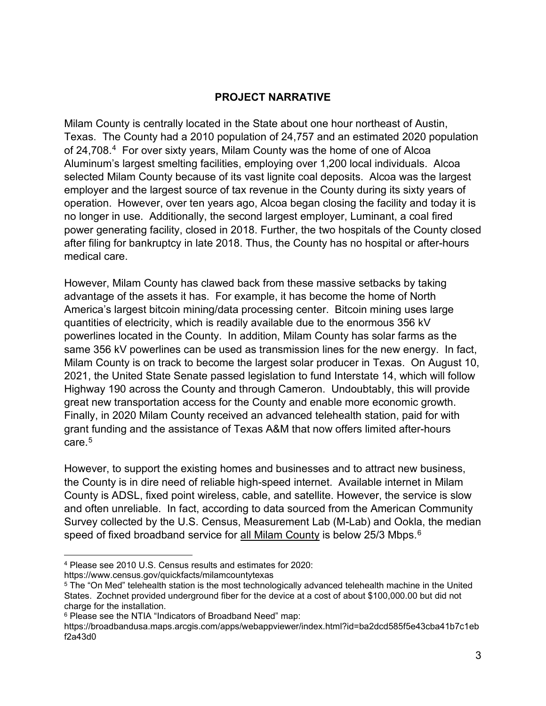## **PROJECT NARRATIVE**

Milam County is centrally located in the State about one hour northeast of Austin, Texas. The County had a 2010 population of 24,757 and an estimated 2020 population of 24,708.[4](#page-2-0) For over sixty years, Milam County was the home of one of Alcoa Aluminum's largest smelting facilities, employing over 1,200 local individuals. Alcoa selected Milam County because of its vast lignite coal deposits. Alcoa was the largest employer and the largest source of tax revenue in the County during its sixty years of operation. However, over ten years ago, Alcoa began closing the facility and today it is no longer in use. Additionally, the second largest employer, Luminant, a coal fired power generating facility, closed in 2018. Further, the two hospitals of the County closed after filing for bankruptcy in late 2018. Thus, the County has no hospital or after-hours medical care.

However, Milam County has clawed back from these massive setbacks by taking advantage of the assets it has. For example, it has become the home of North America's largest bitcoin mining/data processing center. Bitcoin mining uses large quantities of electricity, which is readily available due to the enormous 356 kV powerlines located in the County. In addition, Milam County has solar farms as the same 356 kV powerlines can be used as transmission lines for the new energy. In fact, Milam County is on track to become the largest solar producer in Texas. On August 10, 2021, the United State Senate passed legislation to fund Interstate 14, which will follow Highway 190 across the County and through Cameron. Undoubtably, this will provide great new transportation access for the County and enable more economic growth. Finally, in 2020 Milam County received an advanced telehealth station, paid for with grant funding and the assistance of Texas A&M that now offers limited after-hours care.[5](#page-2-1)

However, to support the existing homes and businesses and to attract new business, the County is in dire need of reliable high-speed internet. Available internet in Milam County is ADSL, fixed point wireless, cable, and satellite. However, the service is slow and often unreliable. In fact, according to data sourced from the American Community Survey collected by the U.S. Census, Measurement Lab (M-Lab) and Ookla, the median speed of fixed broadband service for all Milam County is below 25/3 Mbps.<sup>[6](#page-2-2)</sup>

https://www.census.gov/quickfacts/milamcountytexas

<span id="page-2-0"></span><sup>4</sup> Please see 2010 U.S. Census results and estimates for 2020:

<span id="page-2-1"></span><sup>5</sup> The "On Med" telehealth station is the most technologically advanced telehealth machine in the United States. Zochnet provided underground fiber for the device at a cost of about \$100,000.00 but did not charge for the installation.

<span id="page-2-2"></span><sup>&</sup>lt;sup>6</sup> Please see the NTIA "Indicators of Broadband Need" map:

https://broadbandusa.maps.arcgis.com/apps/webappviewer/index.html?id=ba2dcd585f5e43cba41b7c1eb f2a43d0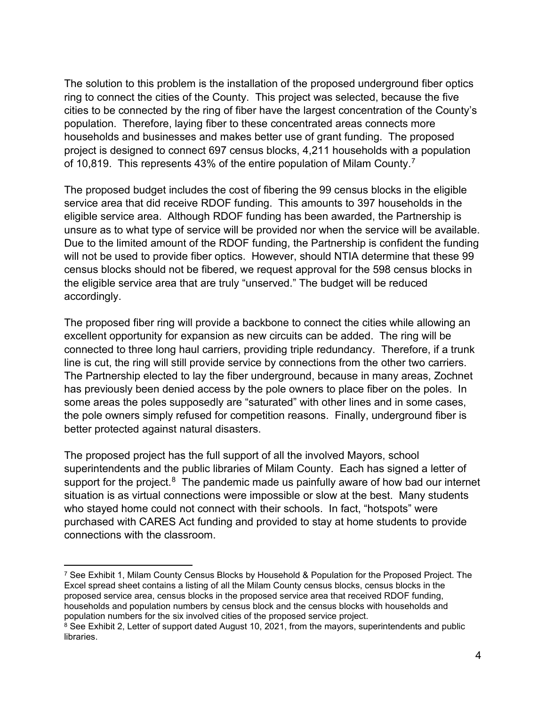The solution to this problem is the installation of the proposed underground fiber optics ring to connect the cities of the County. This project was selected, because the five cities to be connected by the ring of fiber have the largest concentration of the County's population. Therefore, laying fiber to these concentrated areas connects more households and businesses and makes better use of grant funding. The proposed project is designed to connect 697 census blocks, 4,211 households with a population of 10,819. This represents 43% of the entire population of Milam County.[7](#page-3-0)

The proposed budget includes the cost of fibering the 99 census blocks in the eligible service area that did receive RDOF funding. This amounts to 397 households in the eligible service area. Although RDOF funding has been awarded, the Partnership is unsure as to what type of service will be provided nor when the service will be available. Due to the limited amount of the RDOF funding, the Partnership is confident the funding will not be used to provide fiber optics. However, should NTIA determine that these 99 census blocks should not be fibered, we request approval for the 598 census blocks in the eligible service area that are truly "unserved." The budget will be reduced accordingly.

The proposed fiber ring will provide a backbone to connect the cities while allowing an excellent opportunity for expansion as new circuits can be added. The ring will be connected to three long haul carriers, providing triple redundancy. Therefore, if a trunk line is cut, the ring will still provide service by connections from the other two carriers. The Partnership elected to lay the fiber underground, because in many areas, Zochnet has previously been denied access by the pole owners to place fiber on the poles. In some areas the poles supposedly are "saturated" with other lines and in some cases, the pole owners simply refused for competition reasons. Finally, underground fiber is better protected against natural disasters.

The proposed project has the full support of all the involved Mayors, school superintendents and the public libraries of Milam County. Each has signed a letter of support for the project.<sup>[8](#page-3-1)</sup> The pandemic made us painfully aware of how bad our internet situation is as virtual connections were impossible or slow at the best. Many students who stayed home could not connect with their schools. In fact, "hotspots" were purchased with CARES Act funding and provided to stay at home students to provide connections with the classroom.

<span id="page-3-0"></span><sup>&</sup>lt;sup>7</sup> See Exhibit 1, Milam County Census Blocks by Household & Population for the Proposed Project. The Excel spread sheet contains a listing of all the Milam County census blocks, census blocks in the proposed service area, census blocks in the proposed service area that received RDOF funding, households and population numbers by census block and the census blocks with households and population numbers for the six involved cities of the proposed service project.

<span id="page-3-1"></span><sup>&</sup>lt;sup>8</sup> See Exhibit 2, Letter of support dated August 10, 2021, from the mayors, superintendents and public libraries.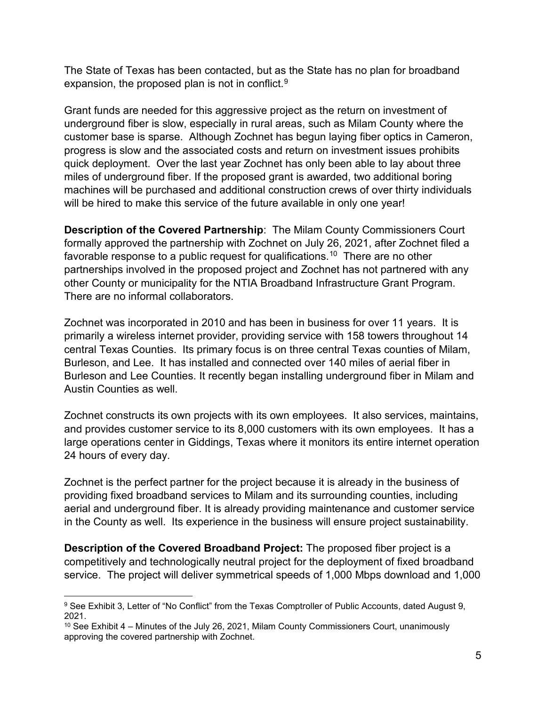The State of Texas has been contacted, but as the State has no plan for broadband expansion, the proposed plan is not in conflict.<sup>[9](#page-4-0)</sup>

Grant funds are needed for this aggressive project as the return on investment of underground fiber is slow, especially in rural areas, such as Milam County where the customer base is sparse. Although Zochnet has begun laying fiber optics in Cameron, progress is slow and the associated costs and return on investment issues prohibits quick deployment. Over the last year Zochnet has only been able to lay about three miles of underground fiber. If the proposed grant is awarded, two additional boring machines will be purchased and additional construction crews of over thirty individuals will be hired to make this service of the future available in only one year!

**Description of the Covered Partnership**: The Milam County Commissioners Court formally approved the partnership with Zochnet on July 26, 2021, after Zochnet filed a favorable response to a public request for qualifications.<sup>10</sup> There are no other partnerships involved in the proposed project and Zochnet has not partnered with any other County or municipality for the NTIA Broadband Infrastructure Grant Program. There are no informal collaborators.

Zochnet was incorporated in 2010 and has been in business for over 11 years. It is primarily a wireless internet provider, providing service with 158 towers throughout 14 central Texas Counties. Its primary focus is on three central Texas counties of Milam, Burleson, and Lee. It has installed and connected over 140 miles of aerial fiber in Burleson and Lee Counties. It recently began installing underground fiber in Milam and Austin Counties as well.

Zochnet constructs its own projects with its own employees. It also services, maintains, and provides customer service to its 8,000 customers with its own employees. It has a large operations center in Giddings, Texas where it monitors its entire internet operation 24 hours of every day.

Zochnet is the perfect partner for the project because it is already in the business of providing fixed broadband services to Milam and its surrounding counties, including aerial and underground fiber. It is already providing maintenance and customer service in the County as well. Its experience in the business will ensure project sustainability.

**Description of the Covered Broadband Project:** The proposed fiber project is a competitively and technologically neutral project for the deployment of fixed broadband service. The project will deliver symmetrical speeds of 1,000 Mbps download and 1,000

<span id="page-4-0"></span><sup>9</sup> See Exhibit 3, Letter of "No Conflict" from the Texas Comptroller of Public Accounts, dated August 9, 2021.

<span id="page-4-1"></span> $10$  See Exhibit 4 – Minutes of the July 26, 2021, Milam County Commissioners Court, unanimously approving the covered partnership with Zochnet.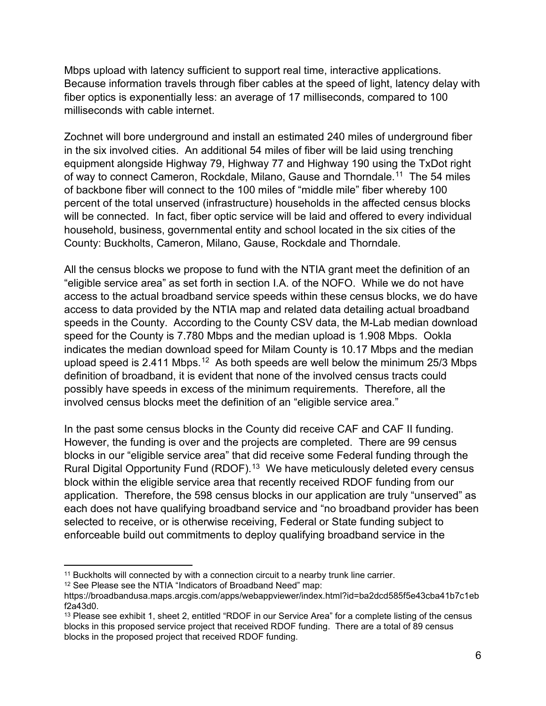Mbps upload with latency sufficient to support real time, interactive applications. Because information travels through fiber cables at the speed of light, latency delay with fiber optics is exponentially less: an average of 17 milliseconds, compared to 100 milliseconds with cable internet.

Zochnet will bore underground and install an estimated 240 miles of underground fiber in the six involved cities. An additional 54 miles of fiber will be laid using trenching equipment alongside Highway 79, Highway 77 and Highway 190 using the TxDot right of way to connect Cameron, Rockdale, Milano, Gause and Thorndale.<sup>[11](#page-5-0)</sup> The 54 miles of backbone fiber will connect to the 100 miles of "middle mile" fiber whereby 100 percent of the total unserved (infrastructure) households in the affected census blocks will be connected. In fact, fiber optic service will be laid and offered to every individual household, business, governmental entity and school located in the six cities of the County: Buckholts, Cameron, Milano, Gause, Rockdale and Thorndale.

All the census blocks we propose to fund with the NTIA grant meet the definition of an "eligible service area" as set forth in section I.A. of the NOFO. While we do not have access to the actual broadband service speeds within these census blocks, we do have access to data provided by the NTIA map and related data detailing actual broadband speeds in the County. According to the County CSV data, the M-Lab median download speed for the County is 7.780 Mbps and the median upload is 1.908 Mbps. Ookla indicates the median download speed for Milam County is 10.17 Mbps and the median upload speed is 2.411 Mbps.<sup>12</sup> As both speeds are well below the minimum 25/3 Mbps definition of broadband, it is evident that none of the involved census tracts could possibly have speeds in excess of the minimum requirements. Therefore, all the involved census blocks meet the definition of an "eligible service area."

In the past some census blocks in the County did receive CAF and CAF II funding. However, the funding is over and the projects are completed. There are 99 census blocks in our "eligible service area" that did receive some Federal funding through the Rural Digital Opportunity Fund (RDOF). [13](#page-5-2) We have meticulously deleted every census block within the eligible service area that recently received RDOF funding from our application. Therefore, the 598 census blocks in our application are truly "unserved" as each does not have qualifying broadband service and "no broadband provider has been selected to receive, or is otherwise receiving, Federal or State funding subject to enforceable build out commitments to deploy qualifying broadband service in the

<span id="page-5-0"></span><sup>&</sup>lt;sup>11</sup> Buckholts will connected by with a connection circuit to a nearby trunk line carrier.

<span id="page-5-1"></span><sup>&</sup>lt;sup>12</sup> See Please see the NTIA "Indicators of Broadband Need" map:

https://broadbandusa.maps.arcgis.com/apps/webappviewer/index.html?id=ba2dcd585f5e43cba41b7c1eb f2a43d0.

<span id="page-5-2"></span><sup>&</sup>lt;sup>13</sup> Please see exhibit 1, sheet 2, entitled "RDOF in our Service Area" for a complete listing of the census blocks in this proposed service project that received RDOF funding. There are a total of 89 census blocks in the proposed project that received RDOF funding.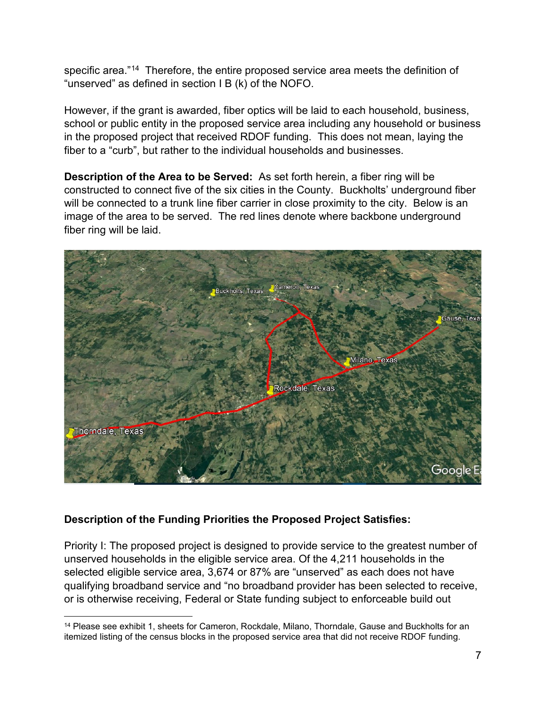specific area."<sup>[14](#page-6-0)</sup> Therefore, the entire proposed service area meets the definition of "unserved" as defined in section I B (k) of the NOFO.

However, if the grant is awarded, fiber optics will be laid to each household, business, school or public entity in the proposed service area including any household or business in the proposed project that received RDOF funding. This does not mean, laying the fiber to a "curb", but rather to the individual households and businesses.

**Description of the Area to be Served:** As set forth herein, a fiber ring will be constructed to connect five of the six cities in the County. Buckholts' underground fiber will be connected to a trunk line fiber carrier in close proximity to the city. Below is an image of the area to be served. The red lines denote where backbone underground fiber ring will be laid.



# **Description of the Funding Priorities the Proposed Project Satisfies:**

Priority I: The proposed project is designed to provide service to the greatest number of unserved households in the eligible service area. Of the 4,211 households in the selected eligible service area, 3,674 or 87% are "unserved" as each does not have qualifying broadband service and "no broadband provider has been selected to receive, or is otherwise receiving, Federal or State funding subject to enforceable build out

<span id="page-6-0"></span><sup>&</sup>lt;sup>14</sup> Please see exhibit 1, sheets for Cameron, Rockdale, Milano, Thorndale, Gause and Buckholts for an itemized listing of the census blocks in the proposed service area that did not receive RDOF funding.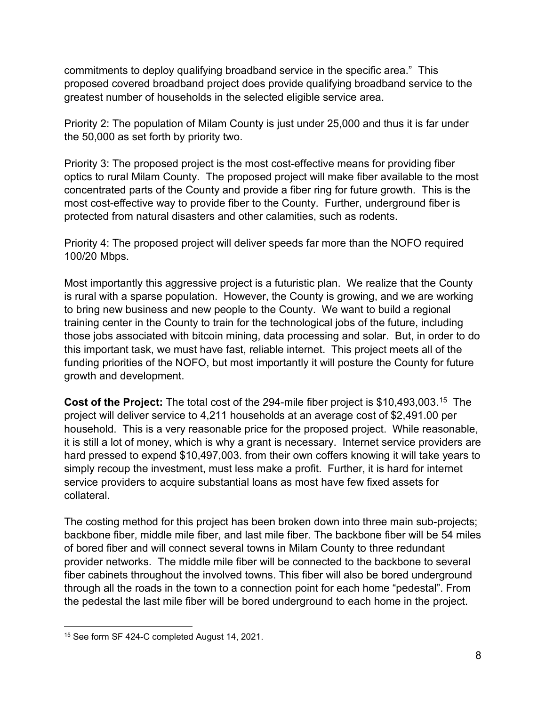commitments to deploy qualifying broadband service in the specific area." This proposed covered broadband project does provide qualifying broadband service to the greatest number of households in the selected eligible service area.

Priority 2: The population of Milam County is just under 25,000 and thus it is far under the 50,000 as set forth by priority two.

Priority 3: The proposed project is the most cost-effective means for providing fiber optics to rural Milam County. The proposed project will make fiber available to the most concentrated parts of the County and provide a fiber ring for future growth. This is the most cost-effective way to provide fiber to the County. Further, underground fiber is protected from natural disasters and other calamities, such as rodents.

Priority 4: The proposed project will deliver speeds far more than the NOFO required 100/20 Mbps.

Most importantly this aggressive project is a futuristic plan. We realize that the County is rural with a sparse population. However, the County is growing, and we are working to bring new business and new people to the County. We want to build a regional training center in the County to train for the technological jobs of the future, including those jobs associated with bitcoin mining, data processing and solar. But, in order to do this important task, we must have fast, reliable internet. This project meets all of the funding priorities of the NOFO, but most importantly it will posture the County for future growth and development.

**Cost of the Project:** The total cost of the 294-mile fiber project is \$10,493,003.<sup>15</sup> The project will deliver service to 4,211 households at an average cost of \$2,491.00 per household. This is a very reasonable price for the proposed project. While reasonable, it is still a lot of money, which is why a grant is necessary. Internet service providers are hard pressed to expend \$10,497,003. from their own coffers knowing it will take years to simply recoup the investment, must less make a profit. Further, it is hard for internet service providers to acquire substantial loans as most have few fixed assets for collateral.

The costing method for this project has been broken down into three main sub-projects; backbone fiber, middle mile fiber, and last mile fiber. The backbone fiber will be 54 miles of bored fiber and will connect several towns in Milam County to three redundant provider networks. The middle mile fiber will be connected to the backbone to several fiber cabinets throughout the involved towns. This fiber will also be bored underground through all the roads in the town to a connection point for each home "pedestal". From the pedestal the last mile fiber will be bored underground to each home in the project.

<span id="page-7-0"></span><sup>15</sup> See form SF 424-C completed August 14, 2021.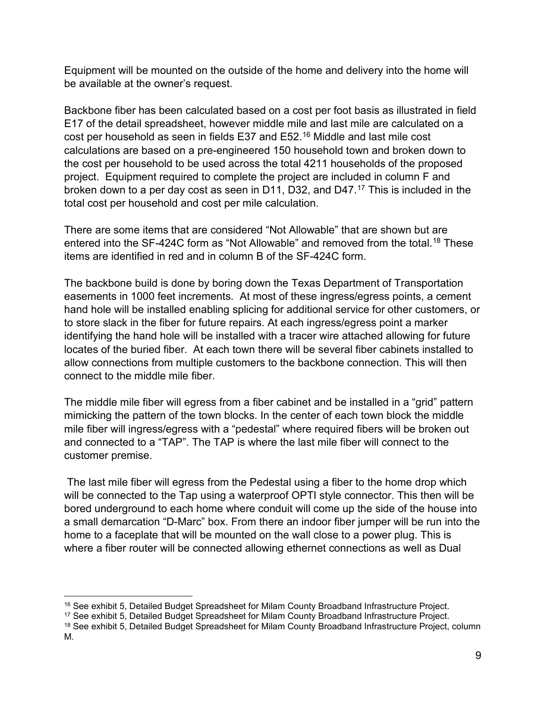Equipment will be mounted on the outside of the home and delivery into the home will be available at the owner's request.

Backbone fiber has been calculated based on a cost per foot basis as illustrated in field E17 of the detail spreadsheet, however middle mile and last mile are calculated on a cost per household as seen in fields E37 and E52.[16](#page-8-0) Middle and last mile cost calculations are based on a pre-engineered 150 household town and broken down to the cost per household to be used across the total 4211 households of the proposed project. Equipment required to complete the project are included in column F and broken down to a per day cost as seen in D11, D32, and D47.<sup>[17](#page-8-1)</sup> This is included in the total cost per household and cost per mile calculation.

There are some items that are considered "Not Allowable" that are shown but are entered into the SF-424C form as "Not Allowable" and removed from the total.<sup>18</sup> These items are identified in red and in column B of the SF-424C form.

The backbone build is done by boring down the Texas Department of Transportation easements in 1000 feet increments. At most of these ingress/egress points, a cement hand hole will be installed enabling splicing for additional service for other customers, or to store slack in the fiber for future repairs. At each ingress/egress point a marker identifying the hand hole will be installed with a tracer wire attached allowing for future locates of the buried fiber. At each town there will be several fiber cabinets installed to allow connections from multiple customers to the backbone connection. This will then connect to the middle mile fiber.

The middle mile fiber will egress from a fiber cabinet and be installed in a "grid" pattern mimicking the pattern of the town blocks. In the center of each town block the middle mile fiber will ingress/egress with a "pedestal" where required fibers will be broken out and connected to a "TAP". The TAP is where the last mile fiber will connect to the customer premise.

The last mile fiber will egress from the Pedestal using a fiber to the home drop which will be connected to the Tap using a waterproof OPTI style connector. This then will be bored underground to each home where conduit will come up the side of the house into a small demarcation "D-Marc" box. From there an indoor fiber jumper will be run into the home to a faceplate that will be mounted on the wall close to a power plug. This is where a fiber router will be connected allowing ethernet connections as well as Dual

<span id="page-8-0"></span><sup>&</sup>lt;sup>16</sup> See exhibit 5, Detailed Budget Spreadsheet for Milam County Broadband Infrastructure Project.

<span id="page-8-1"></span><sup>17</sup> See exhibit 5, Detailed Budget Spreadsheet for Milam County Broadband Infrastructure Project.

<span id="page-8-2"></span><sup>&</sup>lt;sup>18</sup> See exhibit 5, Detailed Budget Spreadsheet for Milam County Broadband Infrastructure Project, column M.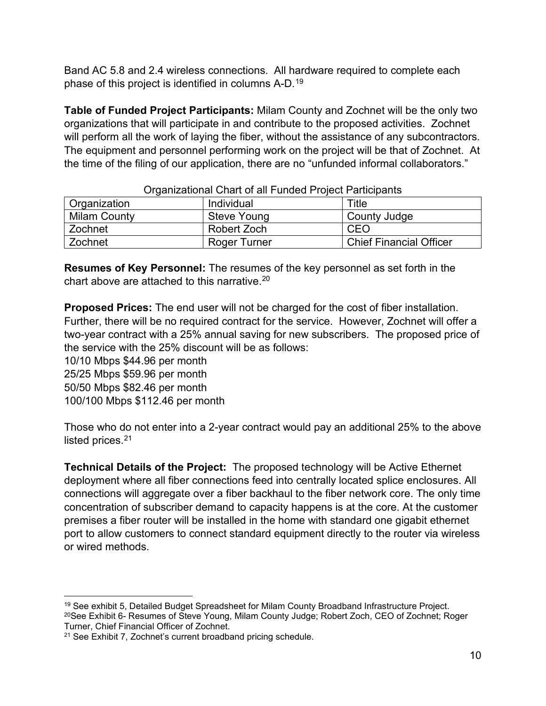Band AC 5.8 and 2.4 wireless connections. All hardware required to complete each phase of this project is identified in columns A-D. [19](#page-9-0)

**Table of Funded Project Participants:** Milam County and Zochnet will be the only two organizations that will participate in and contribute to the proposed activities. Zochnet will perform all the work of laying the fiber, without the assistance of any subcontractors. The equipment and personnel performing work on the project will be that of Zochnet. At the time of the filing of our application, there are no "unfunded informal collaborators."

| <u>Urganizational Unan ori all'i unucu i Tojcot i anticipants</u> |                    |                                |
|-------------------------------------------------------------------|--------------------|--------------------------------|
| <b>Organization</b>                                               | Individual         | Title                          |
| <b>Milam County</b>                                               | <b>Steve Young</b> | County Judge                   |
| Zochnet                                                           | Robert Zoch        | CEO                            |
| Zochnet                                                           | Roger Turner       | <b>Chief Financial Officer</b> |

#### Organizational Chart of all Funded Project Participants

**Resumes of Key Personnel:** The resumes of the key personnel as set forth in the chart above are attached to this narrative.[20](#page-9-1)

**Proposed Prices:** The end user will not be charged for the cost of fiber installation. Further, there will be no required contract for the service. However, Zochnet will offer a two-year contract with a 25% annual saving for new subscribers. The proposed price of the service with the 25% discount will be as follows:

10/10 Mbps \$44.96 per month 25/25 Mbps \$59.96 per month 50/50 Mbps \$82.46 per month 100/100 Mbps \$112.46 per month

Those who do not enter into a 2-year contract would pay an additional 25% to the above listed prices.<sup>[21](#page-9-2)</sup>

**Technical Details of the Project:** The proposed technology will be Active Ethernet deployment where all fiber connections feed into centrally located splice enclosures. All connections will aggregate over a fiber backhaul to the fiber network core. The only time concentration of subscriber demand to capacity happens is at the core. At the customer premises a fiber router will be installed in the home with standard one gigabit ethernet port to allow customers to connect standard equipment directly to the router via wireless or wired methods.

<span id="page-9-1"></span><span id="page-9-0"></span><sup>&</sup>lt;sup>19</sup> See exhibit 5, Detailed Budget Spreadsheet for Milam County Broadband Infrastructure Project. 20See Exhibit 6- Resumes of Steve Young, Milam County Judge; Robert Zoch, CEO of Zochnet; Roger Turner, Chief Financial Officer of Zochnet.

<span id="page-9-2"></span><sup>21</sup> See Exhibit 7, Zochnet's current broadband pricing schedule.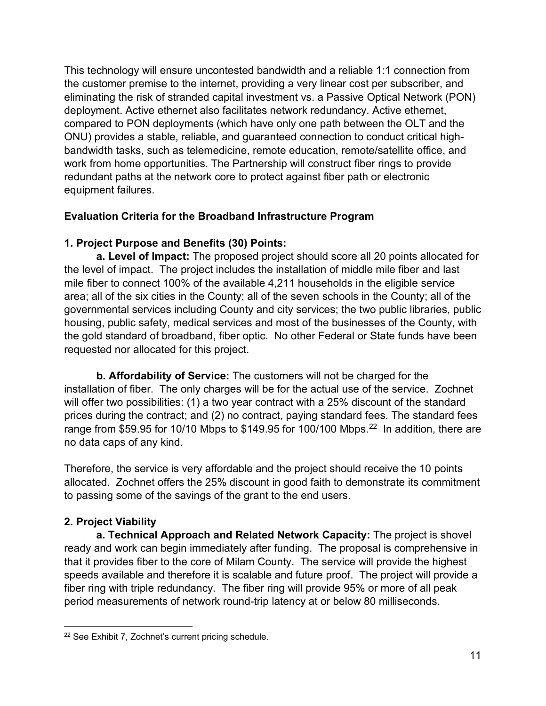This technology will ensure uncontested bandwidth and a reliable 1:1 connection from the customer premise to the internet, providing a very linear cost per subscriber, and eliminating the risk of stranded capital investment vs. a Passive Optical Network (PON) deployment. Active ethernet also facilitates network redundancy. Active ethernet, compared to PON deployments (which have only one path between the OLT and the ONU) provides a stable, reliable, and guaranteed connection to conduct critical highbandwidth tasks, such as telemedicine, remote education, remote/satellite office, and work from home opportunities. The Partnership will construct fiber rings to provide redundant paths at the network core to protect against fiber path or electronic equipment failures.

## **Evaluation Criteria for the Broadband Infrastructure Program**

## **1. Project Purpose and Benefits (30) Points:**

**a. Level of Impact:** The proposed project should score all 20 points allocated for the level of impact. The project includes the installation of middle mile fiber and last mile fiber to connect 100% of the available 4,211 households in the eligible service area; all of the six cities in the County; all of the seven schools in the County; all of the governmental services including County and city services; the two public libraries, public housing, public safety, medical services and most of the businesses of the County, with the gold standard of broadband, fiber optic. No other Federal or State funds have been requested nor allocated for this project.

**b. Affordability of Service:** The customers will not be charged for the installation of fiber. The only charges will be for the actual use of the service. Zochnet will offer two possibilities: (1) a two year contract with a 25% discount of the standard prices during the contract; and (2) no contract, paying standard fees. The standard fees range from \$59.95 for 10/10 Mbps to \$149.95 for 100/100 Mbps.<sup>[22](#page-10-0)</sup> In addition, there are no data caps of any kind.

Therefore, the service is very affordable and the project should receive the 10 points allocated. Zochnet offers the 25% discount in good faith to demonstrate its commitment to passing some of the savings of the grant to the end users.

# **2. Project Viability**

**a. Technical Approach and Related Network Capacity:** The project is shovel ready and work can begin immediately after funding. The proposal is comprehensive in that it provides fiber to the core of Milam County. The service will provide the highest speeds available and therefore it is scalable and future proof. The project will provide a fiber ring with triple redundancy. The fiber ring will provide 95% or more of all peak period measurements of network round-trip latency at or below 80 milliseconds.

<span id="page-10-0"></span><sup>22</sup> See Exhibit 7, Zochnet's current pricing schedule.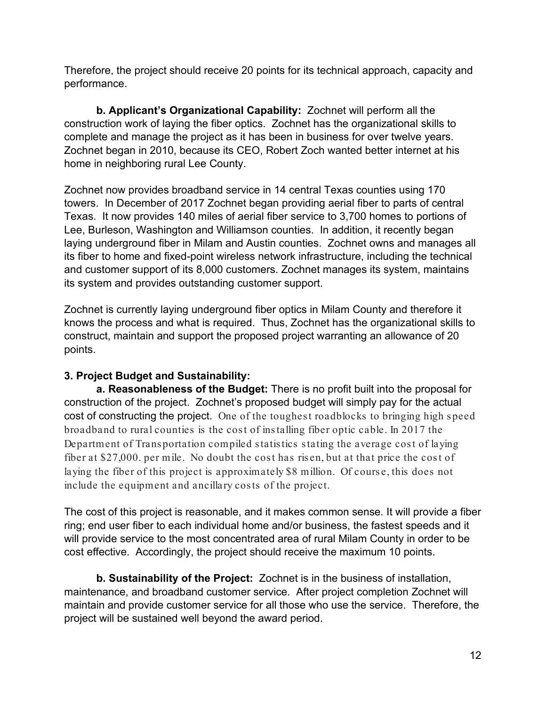Therefore, the project should receive 20 points for its technical approach, capacity and performance.

**b. Applicant's Organizational Capability:** Zochnet will perform all the construction work of laying the fiber optics. Zochnet has the organizational skills to complete and manage the project as it has been in business for over twelve years. Zochnet began in 2010, because its CEO, Robert Zoch wanted better internet at his home in neighboring rural Lee County.

Zochnet now provides broadband service in 14 central Texas counties using 170 towers. In December of 2017 Zochnet began providing aerial fiber to parts of central Texas. It now provides 140 miles of aerial fiber service to 3,700 homes to portions of Lee, Burleson, Washington and Williamson counties. In addition, it recently began laying underground fiber in Milam and Austin counties. Zochnet owns and manages all its fiber to home and fixed-point wireless network infrastructure, including the technical and customer support of its 8,000 customers. Zochnet manages its system, maintains its system and provides outstanding customer support.

Zochnet is currently laying underground fiber optics in Milam County and therefore it knows the process and what is required. Thus, Zochnet has the organizational skills to construct, maintain and support the proposed project warranting an allowance of 20 points.

## **3. Project Budget and Sustainability:**

**a. Reasonableness of the Budget:** There is no profit built into the proposal for construction of the project. Zochnet's proposed budget will simply pay for the actual cost of constructing the project. One of the toughest roadblocks to bringing high speed broadband to rural counties is the cost of installing fiber optic cable. In 2017 the Department of Transportation compiled statistics stating the average cost of laying fiber at \$27,000. per mile. No doubt the cost has risen, but at that price the cost of laying the fiber of this project is approximately \$8 million. Of cours e, this does not include the equipment and ancillary cos ts of the project.

The cost of this project is reasonable, and it makes common sense. It will provide a fiber ring; end user fiber to each individual home and/or business, the fastest speeds and it will provide service to the most concentrated area of rural Milam County in order to be cost effective. Accordingly, the project should receive the maximum 10 points.

**b. Sustainability of the Project:** Zochnet is in the business of installation, maintenance, and broadband customer service. After project completion Zochnet will maintain and provide customer service for all those who use the service. Therefore, the project will be sustained well beyond the award period.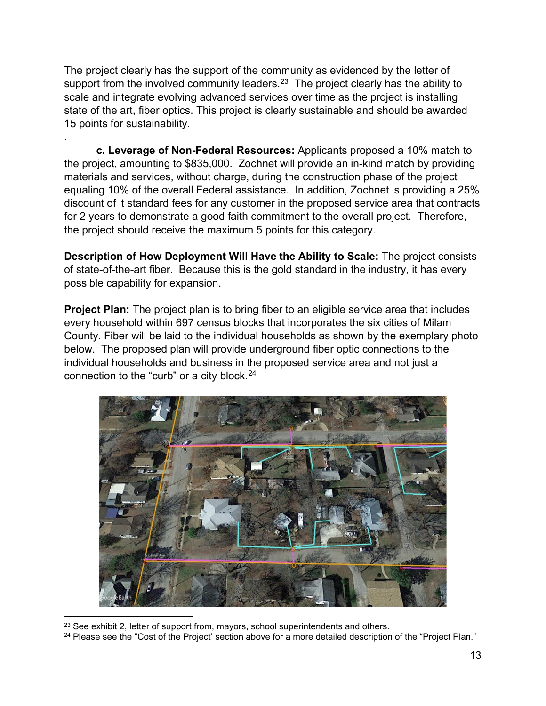The project clearly has the support of the community as evidenced by the letter of support from the involved community leaders.<sup>23</sup> The project clearly has the ability to scale and integrate evolving advanced services over time as the project is installing state of the art, fiber optics. This project is clearly sustainable and should be awarded 15 points for sustainability.

.

**c. Leverage of Non-Federal Resources:** Applicants proposed a 10% match to the project, amounting to \$835,000. Zochnet will provide an in-kind match by providing materials and services, without charge, during the construction phase of the project equaling 10% of the overall Federal assistance. In addition, Zochnet is providing a 25% discount of it standard fees for any customer in the proposed service area that contracts for 2 years to demonstrate a good faith commitment to the overall project. Therefore, the project should receive the maximum 5 points for this category.

**Description of How Deployment Will Have the Ability to Scale:** The project consists of state-of-the-art fiber. Because this is the gold standard in the industry, it has every possible capability for expansion.

**Project Plan:** The project plan is to bring fiber to an eligible service area that includes every household within 697 census blocks that incorporates the six cities of Milam County. Fiber will be laid to the individual households as shown by the exemplary photo below. The proposed plan will provide underground fiber optic connections to the individual households and business in the proposed service area and not just a connection to the "curb" or a city block. [24](#page-12-1)



<sup>&</sup>lt;sup>23</sup> See exhibit 2, letter of support from, mayors, school superintendents and others.

<span id="page-12-1"></span><span id="page-12-0"></span><sup>&</sup>lt;sup>24</sup> Please see the "Cost of the Project' section above for a more detailed description of the "Project Plan."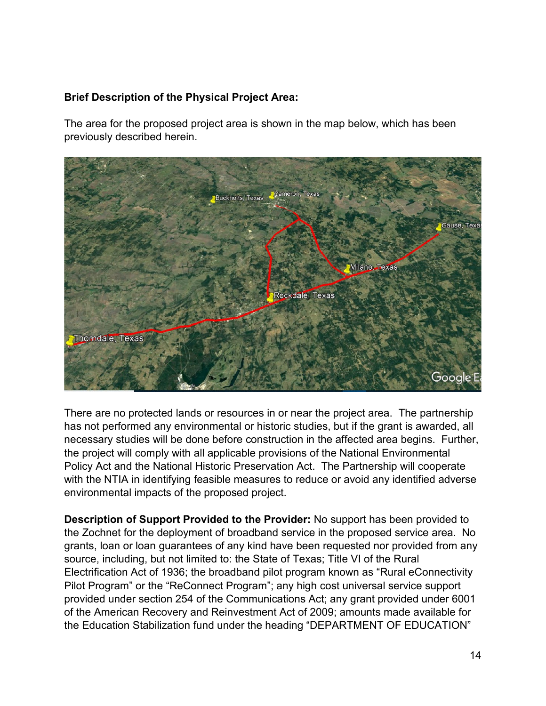## **Brief Description of the Physical Project Area:**

The area for the proposed project area is shown in the map below, which has been previously described herein.



There are no protected lands or resources in or near the project area. The partnership has not performed any environmental or historic studies, but if the grant is awarded, all necessary studies will be done before construction in the affected area begins. Further, the project will comply with all applicable provisions of the National Environmental Policy Act and the National Historic Preservation Act. The Partnership will cooperate with the NTIA in identifying feasible measures to reduce or avoid any identified adverse environmental impacts of the proposed project.

**Description of Support Provided to the Provider:** No support has been provided to the Zochnet for the deployment of broadband service in the proposed service area. No grants, loan or loan guarantees of any kind have been requested nor provided from any source, including, but not limited to: the State of Texas; Title VI of the Rural Electrification Act of 1936; the broadband pilot program known as "Rural eConnectivity Pilot Program" or the "ReConnect Program"; any high cost universal service support provided under section 254 of the Communications Act; any grant provided under 6001 of the American Recovery and Reinvestment Act of 2009; amounts made available for the Education Stabilization fund under the heading "DEPARTMENT OF EDUCATION"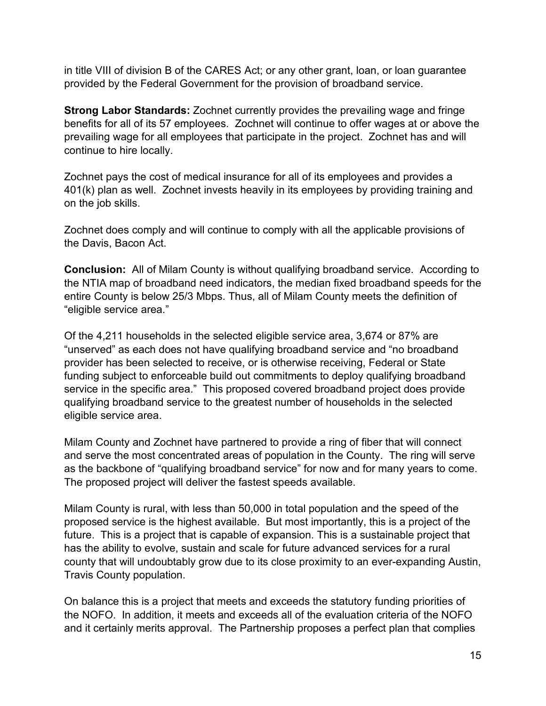in title VIII of division B of the CARES Act; or any other grant, loan, or loan guarantee provided by the Federal Government for the provision of broadband service.

**Strong Labor Standards:** Zochnet currently provides the prevailing wage and fringe benefits for all of its 57 employees. Zochnet will continue to offer wages at or above the prevailing wage for all employees that participate in the project. Zochnet has and will continue to hire locally.

Zochnet pays the cost of medical insurance for all of its employees and provides a 401(k) plan as well. Zochnet invests heavily in its employees by providing training and on the job skills.

Zochnet does comply and will continue to comply with all the applicable provisions of the Davis, Bacon Act.

**Conclusion:** All of Milam County is without qualifying broadband service. According to the NTIA map of broadband need indicators, the median fixed broadband speeds for the entire County is below 25/3 Mbps. Thus, all of Milam County meets the definition of "eligible service area."

Of the 4,211 households in the selected eligible service area, 3,674 or 87% are "unserved" as each does not have qualifying broadband service and "no broadband provider has been selected to receive, or is otherwise receiving, Federal or State funding subject to enforceable build out commitments to deploy qualifying broadband service in the specific area." This proposed covered broadband project does provide qualifying broadband service to the greatest number of households in the selected eligible service area.

Milam County and Zochnet have partnered to provide a ring of fiber that will connect and serve the most concentrated areas of population in the County. The ring will serve as the backbone of "qualifying broadband service" for now and for many years to come. The proposed project will deliver the fastest speeds available.

Milam County is rural, with less than 50,000 in total population and the speed of the proposed service is the highest available. But most importantly, this is a project of the future. This is a project that is capable of expansion. This is a sustainable project that has the ability to evolve, sustain and scale for future advanced services for a rural county that will undoubtably grow due to its close proximity to an ever-expanding Austin, Travis County population.

On balance this is a project that meets and exceeds the statutory funding priorities of the NOFO. In addition, it meets and exceeds all of the evaluation criteria of the NOFO and it certainly merits approval. The Partnership proposes a perfect plan that complies